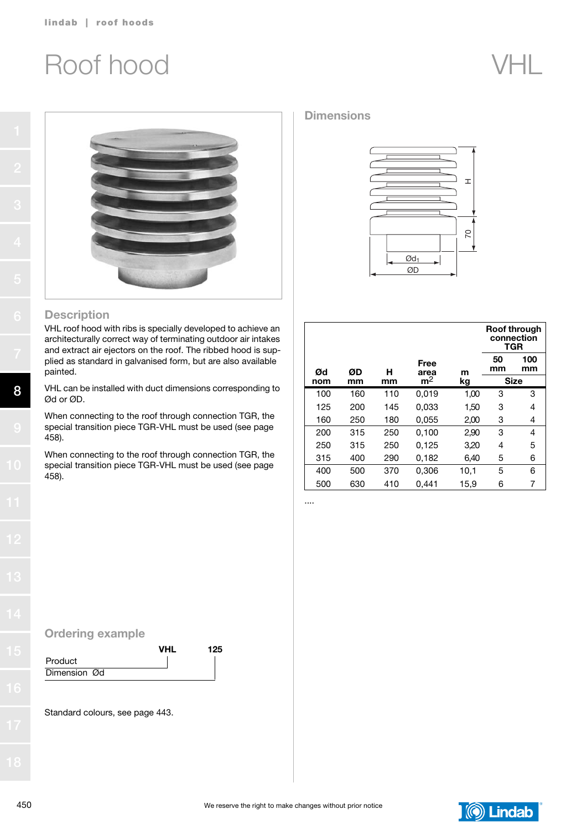## Roof hood VHL





#### **Description**

VHL roof hood with ribs is specially developed to achieve an architecturally correct way of terminating outdoor air intakes and extract air ejectors on the roof. The ribbed hood is supplied as standard in galvanised form, but are also available painted.

VHL can be installed with duct dimensions corresponding to Ød or ØD.

When connecting to the roof through connection TGR, the special transition piece TGR-VHL must be used (see page 458).

When connecting to the roof through connection TGR, the special transition piece TGR-VHL must be used (see page 458).

#### **Dimensions**



|     |     |     |                                     |      |          | <b>Roof through</b><br>connection<br><b>TGR</b> |
|-----|-----|-----|-------------------------------------|------|----------|-------------------------------------------------|
| Ød  | ØD  | н   | Free<br>area                        | m    | 50<br>mm | 100<br>mm                                       |
| nom | mm  | mm  | m <sup>2</sup><br><b>Size</b><br>kg |      |          |                                                 |
| 100 | 160 | 110 | 0.019                               | 1,00 | 3        | 3                                               |
| 125 | 200 | 145 | 0.033                               | 1,50 | 3        | 4                                               |
| 160 | 250 | 180 | 0,055                               | 2,00 | 3        | 4                                               |
| 200 | 315 | 250 | 0,100                               | 2,90 | 3        | 4                                               |
| 250 | 315 | 250 | 0.125                               | 3,20 | 4        | 5                                               |
| 315 | 400 | 290 | 0,182                               | 6,40 | 5        | 6                                               |
| 400 | 500 | 370 | 0,306                               | 10,1 | 5        | 6                                               |
| 500 | 630 | 410 | 0.441                               | 15,9 | 6        | 7                                               |

....

### Ordering example

|              | <b>VHI</b> | 125 |
|--------------|------------|-----|
| Product      |            |     |
| Dimension Ød |            |     |

Standard colours, see page 443.